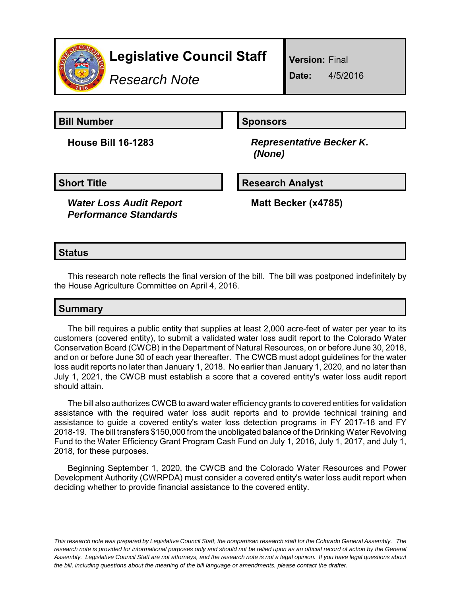

# **Legislative Council Staff**

*Research Note*

**Version:** Final

**Date:** 4/5/2016

**Bill Number Sponsors** 

**House Bill 16-1283** *Representative Becker K. (None)*

*Water Loss Audit Report Performance Standards*

**Short Title Community Community Community Research Analyst** 

**Matt Becker (x4785)**

## **Status**

This research note reflects the final version of the bill. The bill was postponed indefinitely by the House Agriculture Committee on April 4, 2016.

## **Summary**

The bill requires a public entity that supplies at least 2,000 acre-feet of water per year to its customers (covered entity), to submit a validated water loss audit report to the Colorado Water Conservation Board (CWCB) in the Department of Natural Resources, on or before June 30, 2018, and on or before June 30 of each year thereafter. The CWCB must adopt guidelines for the water loss audit reports no later than January 1, 2018. No earlier than January 1, 2020, and no later than July 1, 2021, the CWCB must establish a score that a covered entity's water loss audit report should attain.

The bill also authorizes CWCB to award water efficiency grants to covered entities for validation assistance with the required water loss audit reports and to provide technical training and assistance to guide a covered entity's water loss detection programs in FY 2017-18 and FY 2018-19. The bill transfers \$150,000 from the unobligated balance of the Drinking Water Revolving Fund to the Water Efficiency Grant Program Cash Fund on July 1, 2016, July 1, 2017, and July 1, 2018, for these purposes.

Beginning September 1, 2020, the CWCB and the Colorado Water Resources and Power Development Authority (CWRPDA) must consider a covered entity's water loss audit report when deciding whether to provide financial assistance to the covered entity.

*This research note was prepared by Legislative Council Staff, the nonpartisan research staff for the Colorado General Assembly. The research note is provided for informational purposes only and should not be relied upon as an official record of action by the General Assembly. Legislative Council Staff are not attorneys, and the research note is not a legal opinion. If you have legal questions about the bill, including questions about the meaning of the bill language or amendments, please contact the drafter.*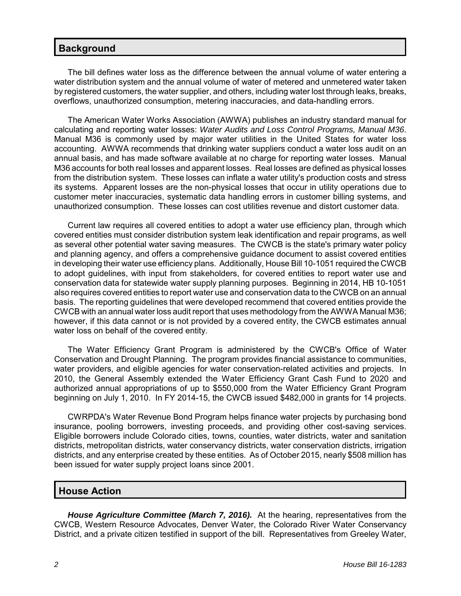#### **Background**

The bill defines water loss as the difference between the annual volume of water entering a water distribution system and the annual volume of water of metered and unmetered water taken by registered customers, the water supplier, and others, including water lost through leaks, breaks, overflows, unauthorized consumption, metering inaccuracies, and data-handling errors.

The American Water Works Association (AWWA) publishes an industry standard manual for calculating and reporting water losses: *Water Audits and Loss Control Programs, Manual M36*. Manual M36 is commonly used by major water utilities in the United States for water loss accounting. AWWA recommends that drinking water suppliers conduct a water loss audit on an annual basis, and has made software available at no charge for reporting water losses. Manual M36 accounts for both real losses and apparent losses. Real losses are defined as physical losses from the distribution system. These losses can inflate a water utility's production costs and stress its systems. Apparent losses are the non-physical losses that occur in utility operations due to customer meter inaccuracies, systematic data handling errors in customer billing systems, and unauthorized consumption. These losses can cost utilities revenue and distort customer data.

Current law requires all covered entities to adopt a water use efficiency plan, through which covered entities must consider distribution system leak identification and repair programs, as well as several other potential water saving measures. The CWCB is the state's primary water policy and planning agency, and offers a comprehensive guidance document to assist covered entities in developing their water use efficiency plans. Additionally, House Bill 10-1051 required the CWCB to adopt guidelines, with input from stakeholders, for covered entities to report water use and conservation data for statewide water supply planning purposes. Beginning in 2014, HB 10-1051 also requires covered entities to report water use and conservation data to the CWCB on an annual basis. The reporting guidelines that were developed recommend that covered entities provide the CWCB with an annual water loss audit report that uses methodology from the AWWA Manual M36; however, if this data cannot or is not provided by a covered entity, the CWCB estimates annual water loss on behalf of the covered entity.

The Water Efficiency Grant Program is administered by the CWCB's Office of Water Conservation and Drought Planning. The program provides financial assistance to communities, water providers, and eligible agencies for water conservation-related activities and projects. In 2010, the General Assembly extended the Water Efficiency Grant Cash Fund to 2020 and authorized annual appropriations of up to \$550,000 from the Water Efficiency Grant Program beginning on July 1, 2010. In FY 2014-15, the CWCB issued \$482,000 in grants for 14 projects.

CWRPDA's Water Revenue Bond Program helps finance water projects by purchasing bond insurance, pooling borrowers, investing proceeds, and providing other cost-saving services. Eligible borrowers include Colorado cities, towns, counties, water districts, water and sanitation districts, metropolitan districts, water conservancy districts, water conservation districts, irrigation districts, and any enterprise created by these entities. As of October 2015, nearly \$508 million has been issued for water supply project loans since 2001.

#### **House Action**

*House Agriculture Committee (March 7, 2016).* At the hearing, representatives from the CWCB, Western Resource Advocates, Denver Water, the Colorado River Water Conservancy District, and a private citizen testified in support of the bill. Representatives from Greeley Water,